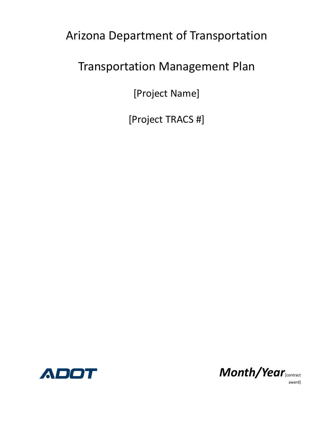Arizona Department of Transportation

### Transportation Management Plan

[Project Name]

[Project TRACS #]





award]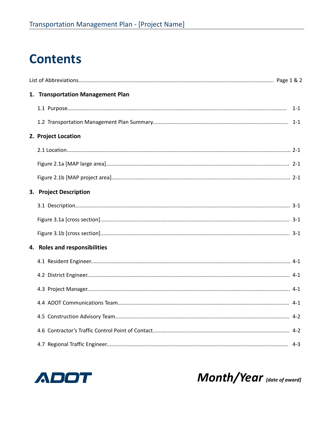## **Contents**

| 1. Transportation Management Plan |  |
|-----------------------------------|--|
|                                   |  |
|                                   |  |
| 2. Project Location               |  |
|                                   |  |
|                                   |  |
|                                   |  |
| 3. Project Description            |  |
|                                   |  |
|                                   |  |
|                                   |  |
| 4. Roles and responsibilities     |  |
|                                   |  |
|                                   |  |
|                                   |  |
|                                   |  |
|                                   |  |
|                                   |  |
|                                   |  |



Month/Year [date of award]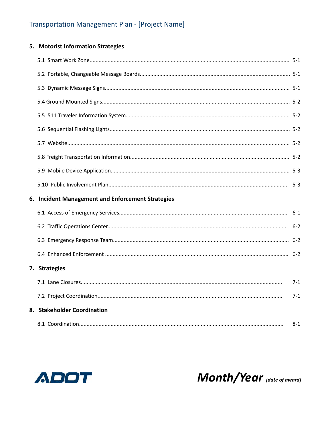### 5. Motorist Information Strategies

| 6. Incident Management and Enforcement Strategies |         |
|---------------------------------------------------|---------|
|                                                   |         |
|                                                   |         |
|                                                   |         |
|                                                   |         |
| 7. Strategies                                     |         |
|                                                   | $7 - 1$ |
|                                                   | $7 - 1$ |
| 8. Stakeholder Coordination                       |         |



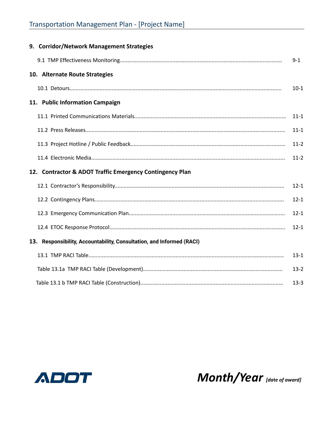| 9. Corridor/Network Management Strategies                             |          |
|-----------------------------------------------------------------------|----------|
|                                                                       | $9 - 1$  |
| 10. Alternate Route Strategies                                        |          |
|                                                                       | $10-1$   |
| 11. Public Information Campaign                                       |          |
|                                                                       | $11 - 1$ |
|                                                                       | $11 - 1$ |
|                                                                       | $11 - 2$ |
|                                                                       | $11 - 2$ |
|                                                                       |          |
| 12. Contractor & ADOT Traffic Emergency Contingency Plan              |          |
|                                                                       | $12 - 1$ |
|                                                                       | $12 - 1$ |
|                                                                       | $12 - 1$ |
|                                                                       | $12 - 1$ |
| 13. Responsibility, Accountability, Consultation, and Informed (RACI) |          |
|                                                                       | $13 - 1$ |
|                                                                       | $13 - 2$ |



Month/Year [date of award]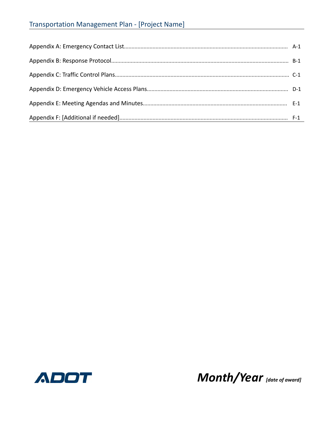### **Transportation Management Plan - [Project Name]**



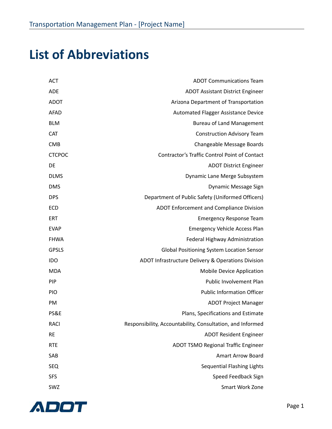## **List of Abbreviations**

| <b>ACT</b>    | <b>ADOT Communications Team</b>                            |
|---------------|------------------------------------------------------------|
| <b>ADE</b>    | <b>ADOT Assistant District Engineer</b>                    |
| <b>ADOT</b>   | Arizona Department of Transportation                       |
| <b>AFAD</b>   | Automated Flagger Assistance Device                        |
| <b>BLM</b>    | <b>Bureau of Land Management</b>                           |
| CAT           | <b>Construction Advisory Team</b>                          |
| <b>CMB</b>    | Changeable Message Boards                                  |
| <b>CTCPOC</b> | Contractor's Traffic Control Point of Contact              |
| <b>DE</b>     | <b>ADOT District Engineer</b>                              |
| <b>DLMS</b>   | Dynamic Lane Merge Subsystem                               |
| <b>DMS</b>    | Dynamic Message Sign                                       |
| <b>DPS</b>    | Department of Public Safety (Uniformed Officers)           |
| <b>ECD</b>    | ADOT Enforcement and Compliance Division                   |
| <b>ERT</b>    | <b>Emergency Response Team</b>                             |
| <b>EVAP</b>   | <b>Emergency Vehicle Access Plan</b>                       |
| <b>FHWA</b>   | Federal Highway Administration                             |
| <b>GPSLS</b>  | <b>Global Positioning System Location Sensor</b>           |
| IDO           | ADOT Infrastructure Delivery & Operations Division         |
| <b>MDA</b>    | Mobile Device Application                                  |
| <b>PIP</b>    | Public Involvement Plan                                    |
| <b>PIO</b>    | <b>Public Information Officer</b>                          |
| PM            | <b>ADOT Project Manager</b>                                |
| PS&E          | Plans, Specifications and Estimate                         |
| <b>RACI</b>   | Responsibility, Accountability, Consultation, and Informed |
| <b>RE</b>     | <b>ADOT Resident Engineer</b>                              |
| <b>RTE</b>    | <b>ADOT TSMO Regional Traffic Engineer</b>                 |
| SAB           | <b>Amart Arrow Board</b>                                   |
| <b>SEQ</b>    | <b>Sequential Flashing Lights</b>                          |
| <b>SFS</b>    | Speed Feedback Sign                                        |
| SWZ           | Smart Work Zone                                            |

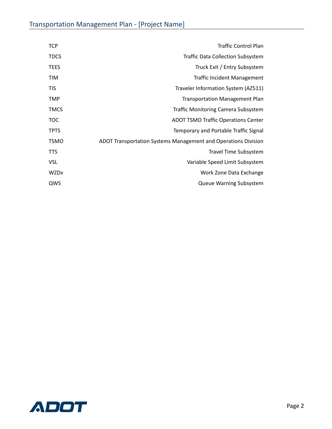| <b>TCP</b>  | <b>Traffic Control Plan</b>                                    |
|-------------|----------------------------------------------------------------|
| <b>TDCS</b> | <b>Traffic Data Collection Subsystem</b>                       |
| <b>TEES</b> | Truck Exit / Entry Subsystem                                   |
| <b>TIM</b>  | <b>Traffic Incident Management</b>                             |
| <b>TIS</b>  | Traveler Information System (AZ511)                            |
| <b>TMP</b>  | <b>Transportation Management Plan</b>                          |
| <b>TMCS</b> | <b>Traffic Monitoring Camera Subsystem</b>                     |
| <b>TOC</b>  | <b>ADOT TSMO Traffic Operations Center</b>                     |
| <b>TPTS</b> | Temporary and Portable Traffic Signal                          |
| <b>TSMO</b> | ADOT Transportation Systems Management and Operations Division |
| <b>TTS</b>  | <b>Travel Time Subsystem</b>                                   |
| <b>VSL</b>  | Variable Speed Limit Subsystem                                 |
| <b>WZDx</b> | Work Zone Data Exchange                                        |
| QWS         | <b>Queue Warning Subsystem</b>                                 |

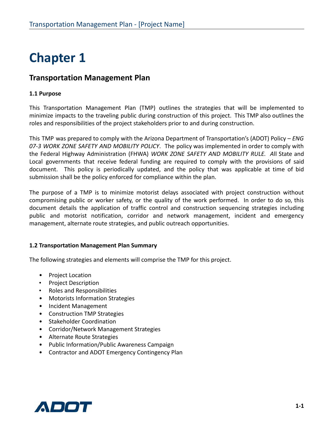### **Transportation Management Plan**

### **1.1 Purpose**

This Transportation Management Plan (TMP) outlines the strategies that will be implemented to minimize impacts to the traveling public during construction of this project. This TMP also outlines the roles and responsibilities of the project stakeholders prior to and during construction.

This TMP was prepared to comply with the Arizona Department of Transportation's (ADOT) Policy – *ENG 07-3 WORK ZONE SAFETY AND MOBILITY POLICY*. The policy was implemented in order to comply with the Federal Highway Administration (FHWA) *WORK ZONE SAFETY AND MOBILITY RULE. A*ll State and Local governments that receive federal funding are required to comply with the provisions of said document. This policy is periodically updated, and the policy that was applicable at time of bid submission shall be the policy enforced for compliance within the plan.

The purpose of a TMP is to minimize motorist delays associated with project construction without compromising public or worker safety, or the quality of the work performed. In order to do so, this document details the application of traffic control and construction sequencing strategies including public and motorist notification, corridor and network management, incident and emergency management, alternate route strategies, and public outreach opportunities.

### **1.2 Transportation Management Plan Summary**

The following strategies and elements will comprise the TMP for this project.

- Project Location
- Project Description
- Roles and Responsibilities
- Motorists Information Strategies
- Incident Management
- Construction TMP Strategies
- Stakeholder Coordination
- Corridor/Network Management Strategies
- Alternate Route Strategies
- Public Information/Public Awareness Campaign
- Contractor and ADOT Emergency Contingency Plan

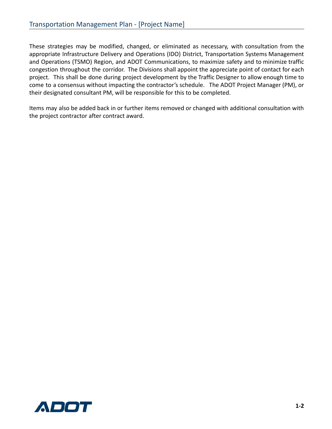These strategies may be modified, changed, or eliminated as necessary, with consultation from the appropriate Infrastructure Delivery and Operations (IDO) District, Transportation Systems Management and Operations (TSMO) Region, and ADOT Communications, to maximize safety and to minimize traffic congestion throughout the corridor. The Divisions shall appoint the appreciate point of contact for each project. This shall be done during project development by the Traffic Designer to allow enough time to come to a consensus without impacting the contractor's schedule. The ADOT Project Manager (PM), or their designated consultant PM, will be responsible for this to be completed.

Items may also be added back in or further items removed or changed with additional consultation with the project contractor after contract award.

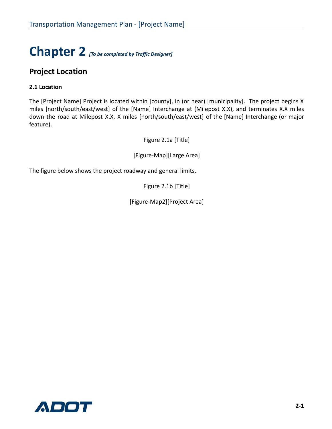# **Chapter 2** *[To be completed by Traffic Designer]*

### **Project Location**

### **2.1 Location**

The [Project Name] Project is located within [county], in (or near) [municipality]. The project begins X miles [north/south/east/west] of the [Name] Interchange at (Milepost X.X), and terminates X.X miles down the road at Milepost X.X, X miles [north/south/east/west] of the [Name] Interchange (or major feature).

Figure 2.1a [Title]

[Figure-Map][Large Area]

The figure below shows the project roadway and general limits.

Figure 2.1b [Title]

[Figure-Map2][Project Area]

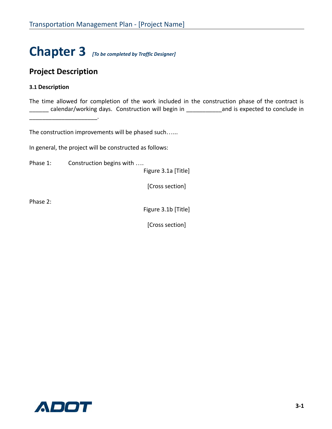# **Chapter 3** *[To be completed by Traffic Designer]*

### **Project Description**

 $\overline{\phantom{a}}$  , where  $\overline{\phantom{a}}$ 

### **3.1 Description**

The time allowed for completion of the work included in the construction phase of the contract is calendar/working days. Construction will begin in \_\_\_\_\_\_\_\_\_\_\_\_\_\_\_\_\_\_\_\_\_\_\_\_\_\_\_\_\_\_ and is expected to conclude in

The construction improvements will be phased such…...

In general, the project will be constructed as follows:

Phase 1: Construction begins with ....

Figure 3.1a [Title]

[Cross section]

Phase 2:

Figure 3.1b [Title]

[Cross section]

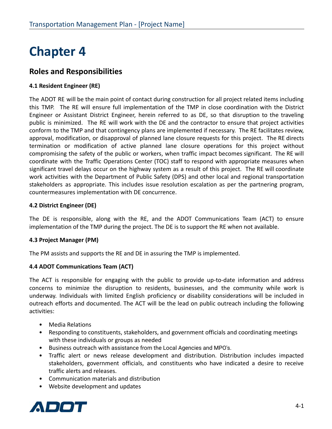### **Roles and Responsibilities**

### **4.1 Resident Engineer (RE)**

The ADOT RE will be the main point of contact during construction for all project related items including this TMP. The RE will ensure full implementation of the TMP in close coordination with the District Engineer or Assistant District Engineer, herein referred to as DE, so that disruption to the traveling public is minimized. The RE will work with the DE and the contractor to ensure that project activities conform to the TMP and that contingency plans are implemented if necessary. The RE facilitates review, approval, modification, or disapproval of planned lane closure requests for this project. The RE directs termination or modification of active planned lane closure operations for this project without compromising the safety of the public or workers, when traffic impact becomes significant. The RE will coordinate with the Traffic Operations Center (TOC) staff to respond with appropriate measures when significant travel delays occur on the highway system as a result of this project. The RE will coordinate work activities with the Department of Public Safety (DPS) and other local and regional transportation stakeholders as appropriate. This includes issue resolution escalation as per the partnering program, countermeasures implementation with DE concurrence.

### **4.2 District Engineer (DE)**

The DE is responsible, along with the RE, and the ADOT Communications Team (ACT) to ensure implementation of the TMP during the project. The DE is to support the RE when not available.

### **4.3 Project Manager (PM)**

The PM assists and supports the RE and DE in assuring the TMP is implemented.

### **4.4 ADOT Communications Team (ACT)**

The ACT is responsible for engaging with the public to provide up-to-date information and address concerns to minimize the disruption to residents, businesses, and the community while work is underway. Individuals with limited English proficiency or disability considerations will be included in outreach efforts and documented. The ACT will be the lead on public outreach including the following activities:

- Media Relations
- Responding to constituents, stakeholders, and government officials and coordinating meetings with these individuals or groups as needed
- Business outreach with assistance from the Local Agencies and MPO's.
- Traffic alert or news release development and distribution. Distribution includes impacted stakeholders, government officials, and constituents who have indicated a desire to receive traffic alerts and releases.
- Communication materials and distribution
- Website development and updates

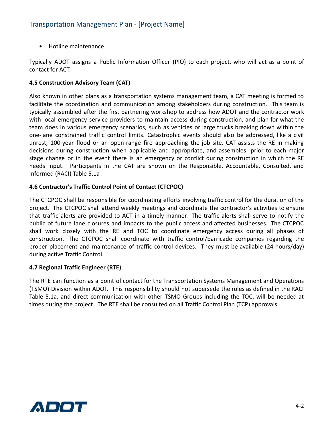• Hotline maintenance

Typically ADOT assigns a Public Information Officer (PIO) to each project, who will act as a point of contact for ACT.

### **4.5 Construction Advisory Team (CAT)**

Also known in other plans as a transportation systems management team, a CAT meeting is formed to facilitate the coordination and communication among stakeholders during construction. This team is typically assembled after the first partnering workshop to address how ADOT and the contractor work with local emergency service providers to maintain access during construction, and plan for what the team does in various emergency scenarios, such as vehicles or large trucks breaking down within the one-lane constrained traffic control limits. Catastrophic events should also be addressed, like a civil unrest, 100-year flood or an open-range fire approaching the job site. CAT assists the RE in making decisions during construction when applicable and appropriate, and assembles prior to each major stage change or in the event there is an emergency or conflict during construction in which the RE needs input. Participants in the CAT are shown on the Responsible, Accountable, Consulted, and Informed (RACI) Table 5.1a .

### **4.6 Contractor's Traffic Control Point of Contact (CTCPOC)**

The CTCPOC shall be responsible for coordinating efforts involving traffic control for the duration of the project. The CTCPOC shall attend weekly meetings and coordinate the contractor's activities to ensure that traffic alerts are provided to ACT in a timely manner. The traffic alerts shall serve to notify the public of future lane closures and impacts to the public access and affected businesses. The CTCPOC shall work closely with the RE and TOC to coordinate emergency access during all phases of construction. The CTCPOC shall coordinate with traffic control/barricade companies regarding the proper placement and maintenance of traffic control devices. They must be available (24 hours/day) during active Traffic Control.

### **4.7 Regional Traffic Engineer (RTE)**

The RTE can function as a point of contact for the Transportation Systems Management and Operations (TSMO) Division within ADOT. This responsibility should not supersede the roles as defined in the RACI Table 5.1a, and direct communication with other TSMO Groups including the TOC, will be needed at times during the project. The RTE shall be consulted on all Traffic Control Plan (TCP) approvals.

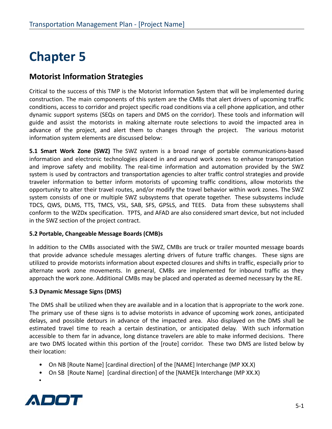### **Motorist Information Strategies**

Critical to the success of this TMP is the Motorist Information System that will be implemented during construction. The main components of this system are the CMBs that alert drivers of upcoming traffic conditions, access to corridor and project specific road conditions via a cell phone application, and other dynamic support systems (SEQs on tapers and DMS on the corridor). These tools and information will guide and assist the motorists in making alternate route selections to avoid the impacted area in advance of the project, and alert them to changes through the project. The various motorist information system elements are discussed below:

**5.1 Smart Work Zone (SWZ)** The SWZ system is a broad range of portable communications-based information and electronic technologies placed in and around work zones to enhance transportation and improve safety and mobility. The real-time information and automation provided by the SWZ system is used by contractors and transportation agencies to alter traffic control strategies and provide traveler information to better inform motorists of upcoming traffic conditions, allow motorists the opportunity to alter their travel routes, and/or modify the travel behavior within work zones. The SWZ system consists of one or multiple SWZ subsystems that operate together. These subsystems include TDCS, QWS, DLMS, TTS, TMCS, VSL, SAB, SFS, GPSLS, and TEES. Data from these subsystems shall conform to the WZDx specification. TPTS, and AFAD are also considered smart device, but not included in the SWZ section of the project contract.

### **5.2 Portable, Changeable Message Boards (CMB)s**

In addition to the CMBs associated with the SWZ, CMBs are truck or trailer mounted message boards that provide advance schedule messages alerting drivers of future traffic changes. These signs are utilized to provide motorists information about expected closures and shifts in traffic, especially prior to alternate work zone movements. In general, CMBs are implemented for inbound traffic as they approach the work zone. Additional CMBs may be placed and operated as deemed necessary by the RE.

### **5.3 Dynamic Message Signs (DMS)**

The DMS shall be utilized when they are available and in a location that is appropriate to the work zone. The primary use of these signs is to advise motorists in advance of upcoming work zones, anticipated delays, and possible detours in advance of the impacted area. Also displayed on the DMS shall be estimated travel time to reach a certain destination, or anticipated delay. With such information accessible to them far in advance, long distance travelers are able to make informed decisions. There are two DMS located within this portion of the [route] corridor. These two DMS are listed below by their location:

- On NB [Route Name] [cardinal direction] of the [NAME] Interchange (MP XX.X)
- On SB [Route Name] [cardinal direction] of the [NAME]k Interchange (MP XX.X)



•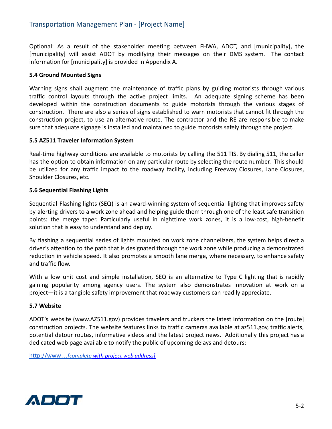Optional: As a result of the stakeholder meeting between FHWA, ADOT, and [municipality], the [municipality] will assist ADOT by modifying their messages on their DMS system. The contact information for [municipality] is provided in Appendix A.

#### **5.4 Ground Mounted Signs**

Warning signs shall augment the maintenance of traffic plans by guiding motorists through various traffic control layouts through the active project limits. An adequate signing scheme has been developed within the construction documents to guide motorists through the various stages of construction. There are also a series of signs established to warn motorists that cannot fit through the construction project, to use an alternative route. The contractor and the RE are responsible to make sure that adequate signage is installed and maintained to guide motorists safely through the project.

#### **5.5 AZ511 Traveler Information System**

Real-time highway conditions are available to motorists by calling the 511 TIS. By dialing 511, the caller has the option to obtain information on any particular route by selecting the route number. This should be utilized for any traffic impact to the roadway facility, including Freeway Closures, Lane Closures, Shoulder Closures, etc.

### **5.6 Sequential Flashing Lights**

Sequential Flashing lights (SEQ) is an award-winning system of sequential lighting that improves safety by alerting drivers to a work zone ahead and helping guide them through one of the least safe transition points: the merge taper. Particularly useful in nighttime work zones, it is a low-cost, high-benefit solution that is easy to understand and deploy.

By flashing a sequential series of lights mounted on work zone channelizers, the system helps direct a driver's attention to the path that is designated through the work zone while producing a demonstrated reduction in vehicle speed. It also promotes a smooth lane merge, where necessary, to enhance safety and traffic flow.

With a low unit cost and simple installation, SEQ is an alternative to Type C lighting that is rapidly gaining popularity among agency users. The system also demonstrates innovation at work on a project—it is a tangible safety improvement that roadway customers can readily appreciate.

#### **5.7 Website**

ADOT's website (www.AZ511.gov) provides travelers and truckers the latest information on the [route] construction projects. The website features links to traffic cameras available at az511.gov, traffic alerts, potential detour routes, informative videos and the latest project news. Additionally this project has a dedicated web page available to notify the public of upcoming delays and detours:

http://www…*[complete with project web address]*

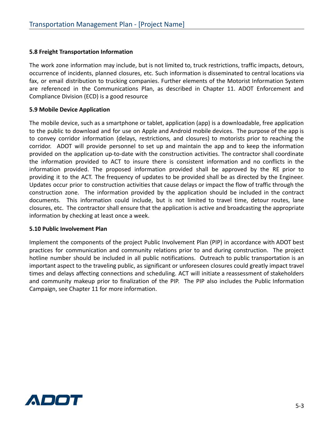#### **5.8 Freight Transportation Information**

The work zone information may include, but is not limited to, truck restrictions, traffic impacts, detours, occurrence of incidents, planned closures, etc. Such information is disseminated to central locations via fax, or email distribution to trucking companies. Further elements of the Motorist Information System are referenced in the Communications Plan, as described in Chapter 11. ADOT Enforcement and Compliance Division (ECD) is a good resource

#### **5.9 Mobile Device Application**

The mobile device, such as a smartphone or tablet, application (app) is a downloadable, free application to the public to download and for use on Apple and Android mobile devices. The purpose of the app is to convey corridor information (delays, restrictions, and closures) to motorists prior to reaching the corridor. ADOT will provide personnel to set up and maintain the app and to keep the information provided on the application up-to-date with the construction activities. The contractor shall coordinate the information provided to ACT to insure there is consistent information and no conflicts in the information provided. The proposed information provided shall be approved by the RE prior to providing it to the ACT. The frequency of updates to be provided shall be as directed by the Engineer. Updates occur prior to construction activities that cause delays or impact the flow of traffic through the construction zone. The information provided by the application should be included in the contract documents. This information could include, but is not limited to travel time, detour routes, lane closures, etc. The contractor shall ensure that the application is active and broadcasting the appropriate information by checking at least once a week.

#### **5.10 Public Involvement Plan**

Implement the components of the project Public Involvement Plan (PIP) in accordance with ADOT best practices for communication and community relations prior to and during construction. The project hotline number should be included in all public notifications. Outreach to public transportation is an important aspect to the traveling public, as significant or unforeseen closures could greatly impact travel times and delays affecting connections and scheduling. ACT will initiate a reassessment of stakeholders and community makeup prior to finalization of the PIP. The PIP also includes the Public Information Campaign, see Chapter 11 for more information.

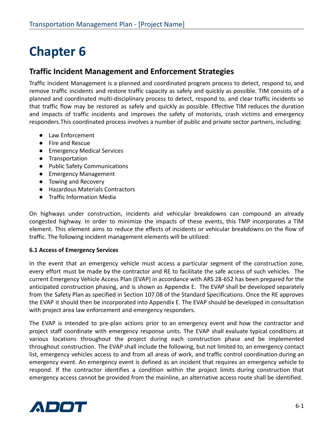### **Traffic Incident Management and Enforcement Strategies**

Traffic Incident Management is a planned and coordinated program process to detect, respond to, and remove traffic incidents and restore traffic capacity as safely and quickly as possible. TIM consists of a planned and coordinated multi-disciplinary process to detect, respond to, and clear traffic incidents so that traffic flow may be restored as safely and quickly as possible. Effective TIM reduces the duration and impacts of traffic incidents and improves the safety of motorists, crash victims and emergency responders.This coordinated process involves a number of public and private sector partners, including:

- Law Enforcement
- Fire and Rescue
- Emergency Medical Services
- Transportation
- Public Safety Communications
- Emergency Management
- Towing and Recovery
- Hazardous Materials Contractors
- Traffic Information Media

On highways under construction, incidents and vehicular breakdowns can compound an already congested highway. In order to minimize the impacts of these events, this TMP incorporates a TIM element. This element aims to reduce the effects of incidents or vehicular breakdowns on the flow of traffic. The following incident management elements will be utilized:

#### **6.1 Access of Emergency Services**

In the event that an emergency vehicle must access a particular segment of the construction zone, every effort must be made by the contractor and RE to facilitate the safe access of such vehicles. The current Emergency Vehicle Access Plan (EVAP) in accordance with ARS 28-652 has been prepared for the anticipated construction phasing, and is shown as Appendix E. The EVAP shall be developed separately from the Safety Plan as specified in Section 107.08 of the Standard Specifications. Once the RE approves the EVAP it should then be incorporated into Appendix E. The EVAP should be developed in consultation with project area law enforcement and emergency responders.

The EVAP is intended to pre-plan actions prior to an emergency event and how the contractor and project staff coordinate with emergency response units. The EVAP shall evaluate typical conditions at various locations throughout the project during each construction phase and be implemented throughout construction. The EVAP shall include the following, but not limited to, an emergency contact list, emergency vehicles access to and from all areas of work, and traffic control coordination during an emergency event. An emergency event is defined as an incident that requires an emergency vehicle to respond. If the contractor identifies a condition within the project limits during construction that emergency access cannot be provided from the mainline, an alternative access route shall be identified.

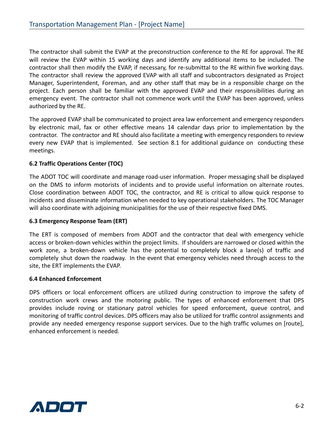The contractor shall submit the EVAP at the preconstruction conference to the RE for approval. The RE will review the EVAP within 15 working days and identify any additional items to be included. The contractor shall then modify the EVAP, if necessary, for re-submittal to the RE within five working days. The contractor shall review the approved EVAP with all staff and subcontractors designated as Project Manager, Superintendent, Foreman, and any other staff that may be in a responsible charge on the project. Each person shall be familiar with the approved EVAP and their responsibilities during an emergency event. The contractor shall not commence work until the EVAP has been approved, unless authorized by the RE.

The approved EVAP shall be communicated to project area law enforcement and emergency responders by electronic mail, fax or other effective means 14 calendar days prior to implementation by the contractor. The contractor and RE should also facilitate a meeting with emergency responders to review every new EVAP that is implemented. See section 8.1 for additional guidance on conducting these meetings.

### **6.2 Traffic Operations Center (TOC)**

The ADOT TOC will coordinate and manage road-user information. Proper messaging shall be displayed on the DMS to inform motorists of incidents and to provide useful information on alternate routes. Close coordination between ADOT TOC, the contractor, and RE is critical to allow quick response to incidents and disseminate information when needed to key operational stakeholders. The TOC Manager will also coordinate with adjoining municipalities for the use of their respective fixed DMS.

### **6.3 Emergency Response Team (ERT)**

The ERT is composed of members from ADOT and the contractor that deal with emergency vehicle access or broken-down vehicles within the project limits. If shoulders are narrowed or closed within the work zone, a broken-down vehicle has the potential to completely block a lane(s) of traffic and completely shut down the roadway. In the event that emergency vehicles need through access to the site, the ERT implements the EVAP.

#### **6.4 Enhanced Enforcement**

DPS officers or local enforcement officers are utilized during construction to improve the safety of construction work crews and the motoring public. The types of enhanced enforcement that DPS provides include roving or stationary patrol vehicles for speed enforcement, queue control, and monitoring of traffic control devices. DPS officers may also be utilized for traffic control assignments and provide any needed emergency response support services. Due to the high traffic volumes on [route], enhanced enforcement is needed.

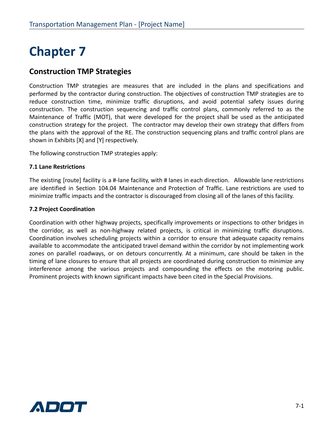### **Construction TMP Strategies**

Construction TMP strategies are measures that are included in the plans and specifications and performed by the contractor during construction. The objectives of construction TMP strategies are to reduce construction time, minimize traffic disruptions, and avoid potential safety issues during construction. The construction sequencing and traffic control plans, commonly referred to as the Maintenance of Traffic (MOT), that were developed for the project shall be used as the anticipated construction strategy for the project. The contractor may develop their own strategy that differs from the plans with the approval of the RE. The construction sequencing plans and traffic control plans are shown in Exhibits [X] and [Y] respectively.

The following construction TMP strategies apply:

#### **7.1 Lane Restrictions**

The existing [route] facility is a #-lane facility, with # lanes in each direction. Allowable lane restrictions are identified in Section 104.04 Maintenance and Protection of Traffic. Lane restrictions are used to minimize traffic impacts and the contractor is discouraged from closing all of the lanes of this facility.

#### **7.2 Project Coordination**

Coordination with other highway projects, specifically improvements or inspections to other bridges in the corridor, as well as non-highway related projects, is critical in minimizing traffic disruptions. Coordination involves scheduling projects within a corridor to ensure that adequate capacity remains available to accommodate the anticipated travel demand within the corridor by not implementing work zones on parallel roadways, or on detours concurrently. At a minimum, care should be taken in the timing of lane closures to ensure that all projects are coordinated during construction to minimize any interference among the various projects and compounding the effects on the motoring public. Prominent projects with known significant impacts have been cited in the Special Provisions.

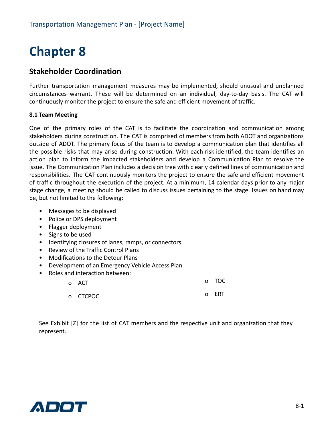### **Stakeholder Coordination**

Further transportation management measures may be implemented, should unusual and unplanned circumstances warrant. These will be determined on an individual, day-to-day basis. The CAT will continuously monitor the project to ensure the safe and efficient movement of traffic.

### **8.1 Team Meeting**

One of the primary roles of the CAT is to facilitate the coordination and communication among stakeholders during construction. The CAT is comprised of members from both ADOT and organizations outside of ADOT. The primary focus of the team is to develop a communication plan that identifies all the possible risks that may arise during construction. With each risk identified, the team identifies an action plan to inform the impacted stakeholders and develop a Communication Plan to resolve the issue. The Communication Plan includes a decision tree with clearly defined lines of communication and responsibilities. The CAT continuously monitors the project to ensure the safe and efficient movement of traffic throughout the execution of the project. At a minimum, 14 calendar days prior to any major stage change, a meeting should be called to discuss issues pertaining to the stage. Issues on hand may be, but not limited to the following:

- Messages to be displayed
- Police or DPS deployment
- Flagger deployment
- Signs to be used
- Identifying closures of lanes, ramps, or connectors
- Review of the Traffic Control Plans
- Modifications to the Detour Plans
- Development of an Emergency Vehicle Access Plan
- Roles and interaction between:

| o ACT    | o TOC |
|----------|-------|
| o CTCPOC | o ERT |

See Exhibit [Z] for the list of CAT members and the respective unit and organization that they represent.

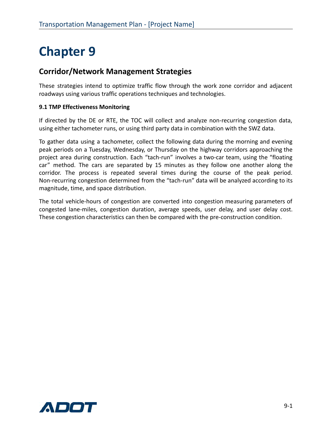### **Corridor/Network Management Strategies**

These strategies intend to optimize traffic flow through the work zone corridor and adjacent roadways using various traffic operations techniques and technologies.

### **9.1 TMP Effectiveness Monitoring**

If directed by the DE or RTE, the TOC will collect and analyze non-recurring congestion data, using either tachometer runs, or using third party data in combination with the SWZ data.

To gather data using a tachometer, collect the following data during the morning and evening peak periods on a Tuesday, Wednesday, or Thursday on the highway corridors approaching the project area during construction. Each "tach-run" involves a two-car team, using the "floating car" method. The cars are separated by 15 minutes as they follow one another along the corridor. The process is repeated several times during the course of the peak period. Non-recurring congestion determined from the "tach-run" data will be analyzed according to its magnitude, time, and space distribution.

The total vehicle-hours of congestion are converted into congestion measuring parameters of congested lane-miles, congestion duration, average speeds, user delay, and user delay cost. These congestion characteristics can then be compared with the pre-construction condition.

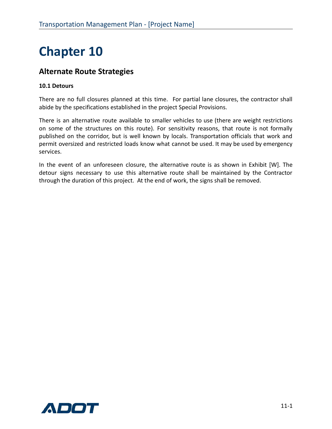### **Alternate Route Strategies**

### **10.1 Detours**

There are no full closures planned at this time. For partial lane closures, the contractor shall abide by the specifications established in the project Special Provisions.

There is an alternative route available to smaller vehicles to use (there are weight restrictions on some of the structures on this route). For sensitivity reasons, that route is not formally published on the corridor, but is well known by locals. Transportation officials that work and permit oversized and restricted loads know what cannot be used. It may be used by emergency services.

In the event of an unforeseen closure, the alternative route is as shown in Exhibit [W]. The detour signs necessary to use this alternative route shall be maintained by the Contractor through the duration of this project. At the end of work, the signs shall be removed.

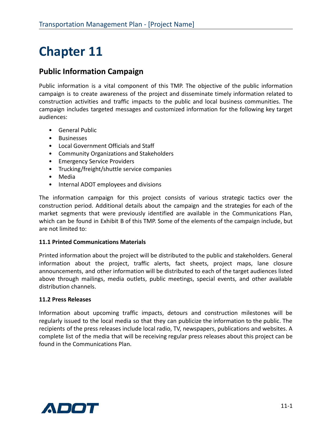### **Public Information Campaign**

Public information is a vital component of this TMP. The objective of the public information campaign is to create awareness of the project and disseminate timely information related to construction activities and traffic impacts to the public and local business communities. The campaign includes targeted messages and customized information for the following key target audiences:

- General Public
- Businesses
- Local Government Officials and Staff
- Community Organizations and Stakeholders
- Emergency Service Providers
- Trucking/freight/shuttle service companies
- Media
- Internal ADOT employees and divisions

The information campaign for this project consists of various strategic tactics over the construction period. Additional details about the campaign and the strategies for each of the market segments that were previously identified are available in the Communications Plan, which can be found in Exhibit B of this TMP. Some of the elements of the campaign include, but are not limited to:

#### **11.1 Printed Communications Materials**

Printed information about the project will be distributed to the public and stakeholders. General information about the project, traffic alerts, fact sheets, project maps, lane closure announcements, and other information will be distributed to each of the target audiences listed above through mailings, media outlets, public meetings, special events, and other available distribution channels.

#### **11.2 Press Releases**

Information about upcoming traffic impacts, detours and construction milestones will be regularly issued to the local media so that they can publicize the information to the public. The recipients of the press releases include local radio, TV, newspapers, publications and websites. A complete list of the media that will be receiving regular press releases about this project can be found in the Communications Plan.

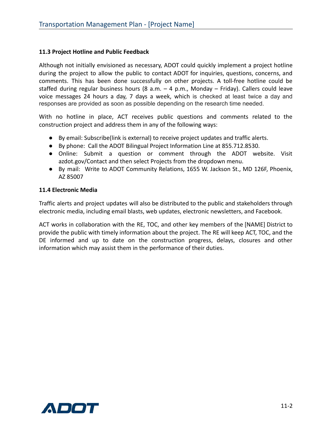#### **11.3 Project Hotline and Public Feedback**

Although not initially envisioned as necessary, ADOT could quickly implement a project hotline during the project to allow the public to contact ADOT for inquiries, questions, concerns, and comments. This has been done successfully on other projects. A toll-free hotline could be staffed during regular business hours (8 a.m. – 4 p.m., Monday – Friday). Callers could leave voice messages 24 hours a day, 7 days a week, which is checked at least twice a day and responses are provided as soon as possible depending on the research time needed.

With no hotline in place, ACT receives public questions and comments related to the construction project and address them in any of the following ways:

- By email: Subscribe(link is external) to receive project updates and traffic alerts.
- By phone: Call the ADOT Bilingual Project Information Line at 855.712.8530.
- Online: Submit a question or comment through the ADOT website. Visit azdot.gov/Contact and then select Projects from the dropdown menu.
- By mail: Write to ADOT Community Relations, 1655 W. Jackson St., MD 126F, Phoenix, AZ 85007

#### **11.4 Electronic Media**

Traffic alerts and project updates will also be distributed to the public and stakeholders through electronic media, including email blasts, web updates, electronic newsletters, and Facebook.

ACT works in collaboration with the RE, TOC, and other key members of the [NAME] District to provide the public with timely information about the project. The RE will keep ACT, TOC, and the DE informed and up to date on the construction progress, delays, closures and other information which may assist them in the performance of their duties.

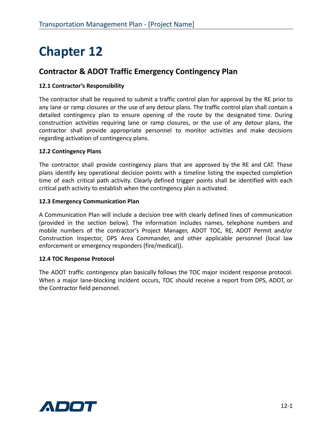### **Contractor & ADOT Traffic Emergency Contingency Plan**

### **12.1 Contractor's Responsibility**

The contractor shall be required to submit a traffic control plan for approval by the RE prior to any lane or ramp closures or the use of any detour plans. The traffic control plan shall contain a detailed contingency plan to ensure opening of the route by the designated time. During construction activities requiring lane or ramp closures, or the use of any detour plans, the contractor shall provide appropriate personnel to monitor activities and make decisions regarding activation of contingency plans.

#### **12.2 Contingency Plans**

The contractor shall provide contingency plans that are approved by the RE and CAT. These plans identify key operational decision points with a timeline listing the expected completion time of each critical path activity. Clearly defined trigger points shall be identified with each critical path activity to establish when the contingency plan is activated.

#### **12.3 Emergency Communication Plan**

A Communication Plan will include a decision tree with clearly defined lines of communication (provided in the section below). The information includes names, telephone numbers and mobile numbers of the contractor's Project Manager, ADOT TOC, RE, ADOT Permit and/or Construction Inspector, DPS Area Commander, and other applicable personnel (local law enforcement or emergency responders (fire/medical)).

#### **12.4 TOC Response Protocol**

The ADOT traffic contingency plan basically follows the TOC major incident response protocol. When a major lane-blocking incident occurs, TOC should receive a report from DPS, ADOT, or the Contractor field personnel.

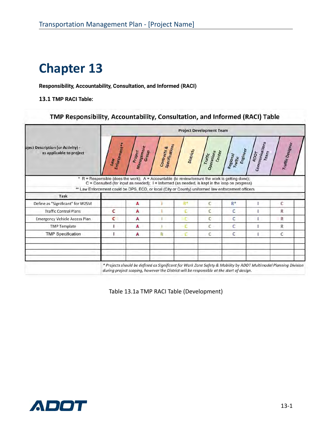**Responsibility, Accountability, Consultation, and Informed (RACI)**

**13.1 TMP RACI Table:**

TMP Responsibility, Accountability, Consultation, and Informed (RACI) Table

|                                                               | <b>Project Development Team</b>                                                                                                                                                                                                                                                                             |                                                                                          |                                      |           |                                 |                                 |                                       |                                                                                                                  |
|---------------------------------------------------------------|-------------------------------------------------------------------------------------------------------------------------------------------------------------------------------------------------------------------------------------------------------------------------------------------------------------|------------------------------------------------------------------------------------------|--------------------------------------|-----------|---------------------------------|---------------------------------|---------------------------------------|------------------------------------------------------------------------------------------------------------------|
| bject Description (or Activity) -<br>as applicable to project | <b>Enforcement+*</b><br>Taw                                                                                                                                                                                                                                                                                 | <b>Management</b><br>Project<br>Group                                                    | <b>Specifications</b><br>Contracts & | Districts | Operations<br>Center<br>Traffic | Engineer<br>Regional<br>Traffic | <b>Communications</b><br>Team<br>ADOT | Traffic Designer                                                                                                 |
|                                                               | * R = Responsible (does the work); A = Accountable (to review/ensure the work is getting done);<br>$C =$ Consulted (for input as needed); $I =$ Informed (as needed, is kept in the loop on progress)<br>** Law Enforcement could be DPS, ECD, or local (City or County) uniformed law enforcement officers |                                                                                          |                                      |           |                                 |                                 |                                       |                                                                                                                  |
| Task                                                          |                                                                                                                                                                                                                                                                                                             |                                                                                          |                                      |           |                                 |                                 |                                       |                                                                                                                  |
| Define as "Significant" for WZSM                              |                                                                                                                                                                                                                                                                                                             | A                                                                                        |                                      |           |                                 | $R^*$                           |                                       | C                                                                                                                |
| <b>Traffic Control Plans</b>                                  | c                                                                                                                                                                                                                                                                                                           | A                                                                                        |                                      |           | C                               | ċ                               |                                       | R                                                                                                                |
| <b>Emergency Vehicle Access Plan.</b>                         | с                                                                                                                                                                                                                                                                                                           | A                                                                                        |                                      | ъr        | C                               | c                               |                                       | R                                                                                                                |
| <b>TMP Template</b>                                           |                                                                                                                                                                                                                                                                                                             | А                                                                                        |                                      |           | C                               | C                               |                                       | R                                                                                                                |
| <b>TMP Specification</b>                                      |                                                                                                                                                                                                                                                                                                             | А                                                                                        | R                                    |           | C.                              | C                               |                                       | Ċ                                                                                                                |
|                                                               |                                                                                                                                                                                                                                                                                                             |                                                                                          |                                      |           |                                 |                                 |                                       |                                                                                                                  |
|                                                               |                                                                                                                                                                                                                                                                                                             | during project scoping, however the District will be responsible at the start of design. |                                      |           |                                 |                                 |                                       | * Projects should be defined as Significant for Work Zone Safety & Mobility by ADOT Multimodal Planning Division |

Table 13.1a TMP RACI Table (Development)

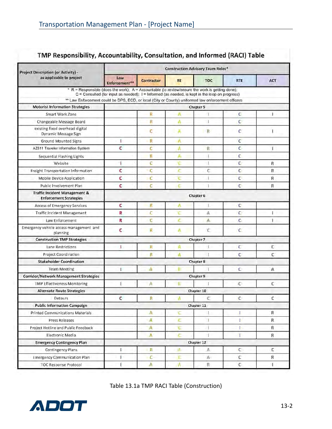| <b>Project Description (or Activity) -</b>                                                         | <b>Construction Advisory Team Roles*</b>                                                           |                   |           |              |              |              |  |
|----------------------------------------------------------------------------------------------------|----------------------------------------------------------------------------------------------------|-------------------|-----------|--------------|--------------|--------------|--|
| as applicable to project                                                                           | Law<br>Enforcement**                                                                               | <b>Contractor</b> | <b>RE</b> | <b>TOC</b>   | <b>RTE</b>   | <b>ACT</b>   |  |
| * R = Responsible (does the work); A = Accountable (to review/ensure the work is getting done);    | $C =$ Consulted (for input as needed); $I =$ Informed (as needed, is kept in the loop on progress) |                   |           |              |              |              |  |
| ** Law Enforcement could be DPS, ECD, or local (City or County) uniformed law enforcement officers |                                                                                                    |                   |           |              |              |              |  |
| <b>Motorist Information Strategies</b>                                                             |                                                                                                    |                   |           | Chapter 5    |              |              |  |
| Smart Work Zone                                                                                    |                                                                                                    | R                 | A         | T            | с            | 1.           |  |
| Changeable Message Board                                                                           |                                                                                                    | R                 | ٨         | ı            | c            |              |  |
| existing fixed overhead digital<br>Dynamic Message Sign                                            |                                                                                                    | с                 | Ä         | R            | ¢            | 1            |  |
| Ground Mounted Signs                                                                               | Г                                                                                                  | R                 | ٨         |              | с            |              |  |
| AZ511 Traveler Information System                                                                  | c                                                                                                  | c                 | ٨         | R            | c            | ı            |  |
| Sequential Flashing Lights                                                                         |                                                                                                    | П                 |           |              | c            |              |  |
| Website                                                                                            | T                                                                                                  | c                 | c         | J.           | c            | $\mathsf{R}$ |  |
| Freight Transportation Information                                                                 | c                                                                                                  | с                 |           | С            | c            | ĸ            |  |
| Mobile Device Application                                                                          | c                                                                                                  | c                 | τ         | ĭ            | c            | R            |  |
| Public Involvement Plan                                                                            | c                                                                                                  | c                 | c         | ĭ            | C            | Ŕ            |  |
| <b>Traffic Incident Management &amp;</b><br><b>Enforcement Strategies</b>                          |                                                                                                    |                   |           | Chapter 6    |              |              |  |
| <b>Access of Emergency Services</b>                                                                | с                                                                                                  | R                 | A         | £            | с            |              |  |
| Traffic Incident Management                                                                        | R                                                                                                  | Ċ                 |           | $\mathbb A$  | $\mathsf{C}$ |              |  |
| Law Enforcement                                                                                    | R                                                                                                  | C                 | ċ         | $\mathbb{A}$ | с            | ٠            |  |
| Emergency vehicle access management and<br>planning                                                | с                                                                                                  | R                 | A         | ε            | с            |              |  |
| <b>Construction TMP Strategies</b>                                                                 |                                                                                                    |                   |           | Chapter 7    |              |              |  |
| Lane Restrictions                                                                                  | L                                                                                                  | R                 | A         | £            | c            | c            |  |
| Project Coordination                                                                               |                                                                                                    | R                 | A         |              | с            | c            |  |
| <b>Stakeholder Coordination</b>                                                                    |                                                                                                    |                   |           | Chapter 8    |              |              |  |
| <b>Team Meeting</b>                                                                                | L                                                                                                  | ٨                 |           |              | c            | Α            |  |
| <b>Corridor/Network Management Strategies</b>                                                      |                                                                                                    |                   |           | Chapter 9    |              |              |  |
| <b>TMP Effectiveness Monitoring</b>                                                                | 1                                                                                                  | Λ                 | R         |              | C            | c            |  |
| <b>Alternate Route Strategies</b>                                                                  |                                                                                                    |                   |           | Chapter 10   |              |              |  |
| Detours                                                                                            | c                                                                                                  | R                 |           | c            | C            | c            |  |
| <b>Public Information Campaign</b>                                                                 |                                                                                                    |                   |           | Chapter 11   |              |              |  |
| Printed Communications Materials                                                                   |                                                                                                    | A                 | ۲C        | L            | L            | $\mathsf R$  |  |
| Press Releases                                                                                     |                                                                                                    | A                 | c         | T            | L            | R.           |  |
| Project Hotline and Public Feedback                                                                |                                                                                                    | A                 | τ         | 1            | L            | Ř.           |  |
| Electronic Media                                                                                   |                                                                                                    | Ā                 | ċ         | Ť            | T            | R            |  |
| <b>Emergency Contingency Plan</b>                                                                  | Chapter 12                                                                                         |                   |           |              |              |              |  |
| Contingency Plans                                                                                  | г                                                                                                  | R.                | ×         | A            | c.           | $\mathsf C$  |  |
| <b>Emergency Communication Plan</b>                                                                | r                                                                                                  | C                 | E         | A-           | c            | R            |  |
| <b>TOC Response Protocol</b>                                                                       | ī                                                                                                  | A                 | Ŵ         | R            | C            | L            |  |

### TMP Responsibility, Accountability, Consultation, and Informed (RACI) Table

Table 13.1a TMP RACI Table (Construction)

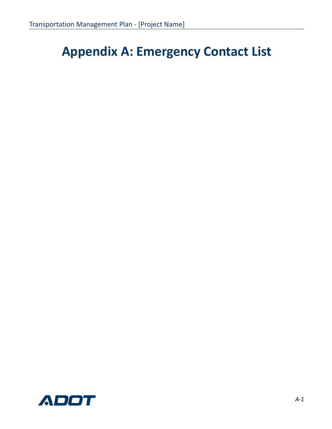## **Appendix A: Emergency Contact List**

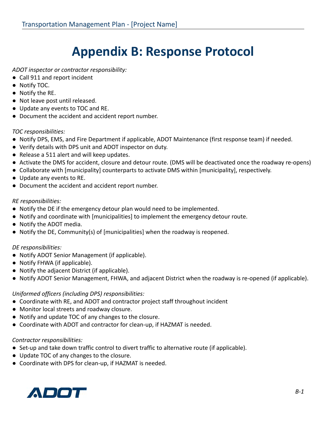## **Appendix B: Response Protocol**

*ADOT inspector or contractor responsibility:*

- Call 911 and report incident
- Notify TOC.
- Notify the RE.
- Not leave post until released.
- Update any events to TOC and RE.
- Document the accident and accident report number.

### *TOC responsibilities:*

- Notify DPS, EMS, and Fire Department if applicable, ADOT Maintenance (first response team) if needed.
- Verify details with DPS unit and ADOT inspector on duty.
- Release a 511 alert and will keep updates.
- Activate the DMS for accident, closure and detour route. (DMS will be deactivated once the roadway re-opens)
- Collaborate with [municipality] counterparts to activate DMS within [municipality], respectively.
- Update any events to RE.
- Document the accident and accident report number.

### *RE responsibilities:*

- Notify the DE if the emergency detour plan would need to be implemented.
- Notify and coordinate with [municipalities] to implement the emergency detour route.
- Notify the ADOT media.
- Notify the DE, Community(s) of [municipalities] when the roadway is reopened.

### *DE responsibilities:*

- Notify ADOT Senior Management (if applicable).
- Notify FHWA (if applicable).
- Notify the adjacent District (if applicable).
- Notify ADOT Senior Management, FHWA, and adjacent District when the roadway is re-opened (if applicable).

### *Uniformed officers (including DPS) responsibilities:*

- Coordinate with RE, and ADOT and contractor project staff throughout incident
- Monitor local streets and roadway closure.
- Notify and update TOC of any changes to the closure.
- Coordinate with ADOT and contractor for clean-up, if HAZMAT is needed.

### *Contractor responsibilities:*

- Set-up and take down traffic control to divert traffic to alternative route (if applicable).
- Update TOC of any changes to the closure.
- Coordinate with DPS for clean-up, if HAZMAT is needed.

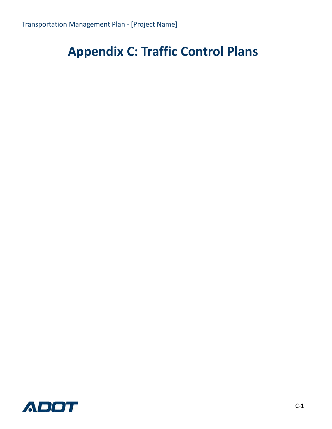## **Appendix C: Traffic Control Plans**

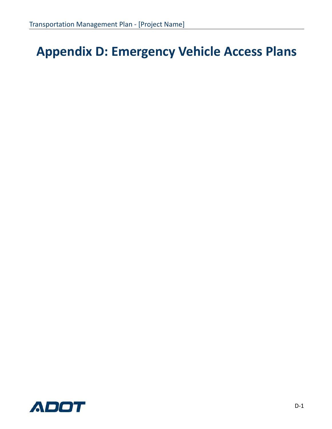## **Appendix D: Emergency Vehicle Access Plans**

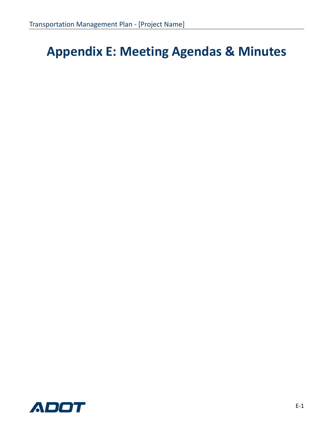## **Appendix E: Meeting Agendas & Minutes**

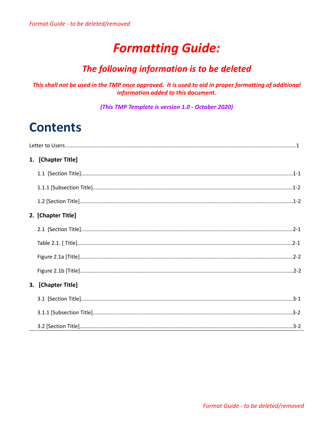### **Formatting Guide:**

### The following information is to be deleted

### This shall not be used in the TMP once approved. It is used to aid in proper formatting of additional information added to this document.

(This TMP Template is version 1.0 - October 2020)

### **Contents**

| 1. [Chapter Title] |
|--------------------|
|                    |
|                    |
|                    |
| 2. [Chapter Title] |
|                    |
|                    |
|                    |
|                    |
| 3. [Chapter Title] |
|                    |
|                    |
|                    |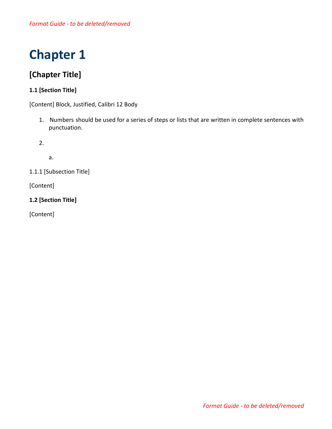### **[Chapter Title]**

### **1.1 [Section Title]**

[Content] Block, Justified, Calibri 12 Body

1. Numbers should be used for a series of steps or lists that are written in complete sentences with punctuation.

2.

a.

1.1.1 [Subsection Title]

[Content]

**1.2 [Section Title]**

[Content]